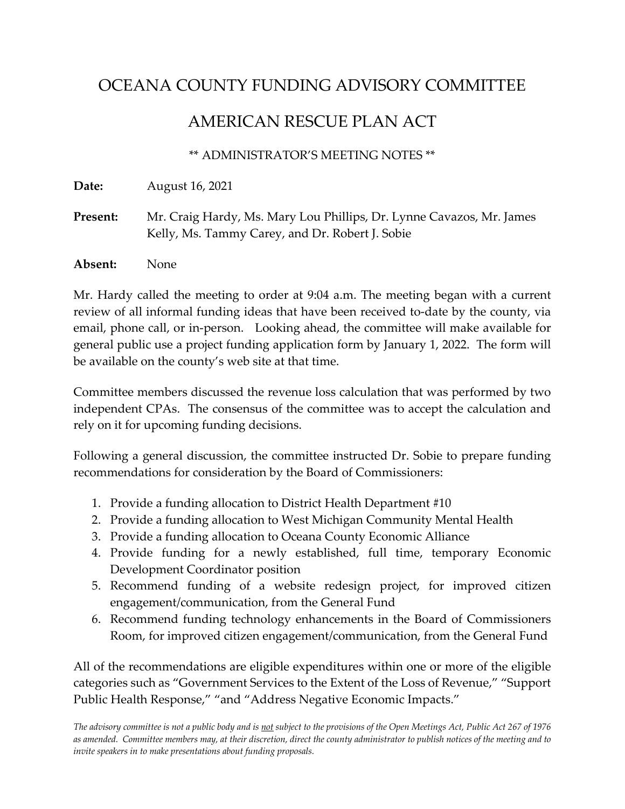## OCEANA COUNTY FUNDING ADVISORY COMMITTEE

## AMERICAN RESCUE PLAN ACT

## \*\* ADMINISTRATOR'S MEETING NOTES \*\*

**Date:** August 16, 2021

Present: Mr. Craig Hardy, Ms. Mary Lou Phillips, Dr. Lynne Cavazos, Mr. James Kelly, Ms. Tammy Carey, and Dr. Robert J. Sobie

**Absent:** None

Mr. Hardy called the meeting to order at 9:04 a.m. The meeting began with a current review of all informal funding ideas that have been received to-date by the county, via email, phone call, or in-person. Looking ahead, the committee will make available for general public use a project funding application form by January 1, 2022. The form will be available on the county's web site at that time.

Committee members discussed the revenue loss calculation that was performed by two independent CPAs. The consensus of the committee was to accept the calculation and rely on it for upcoming funding decisions.

Following a general discussion, the committee instructed Dr. Sobie to prepare funding recommendations for consideration by the Board of Commissioners:

- 1. Provide a funding allocation to District Health Department #10
- 2. Provide a funding allocation to West Michigan Community Mental Health
- 3. Provide a funding allocation to Oceana County Economic Alliance
- 4. Provide funding for a newly established, full time, temporary Economic Development Coordinator position
- 5. Recommend funding of a website redesign project, for improved citizen engagement/communication, from the General Fund
- 6. Recommend funding technology enhancements in the Board of Commissioners Room, for improved citizen engagement/communication, from the General Fund

All of the recommendations are eligible expenditures within one or more of the eligible categories such as "Government Services to the Extent of the Loss of Revenue," "Support Public Health Response," "and "Address Negative Economic Impacts."